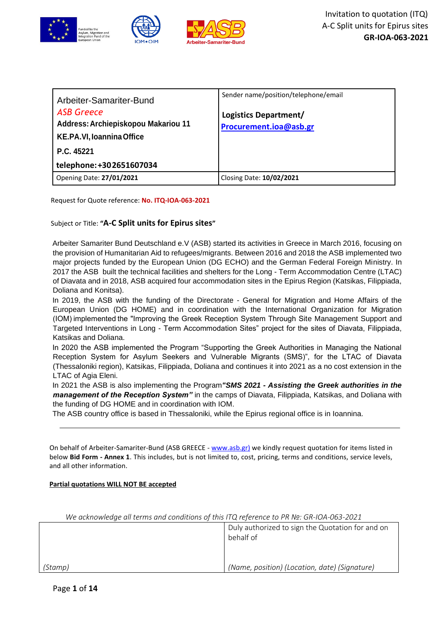

| Arbeiter-Samariter-Bund<br><b>ASB Greece</b><br>Address: Archiepiskopou Makariou 11<br>KE.PA.VI, Ioannina Office<br>P.C. 45221<br>telephone: +302651607034 | Sender name/position/telephone/email<br>Logistics Department/<br>Procurement.ioa@asb.gr |
|------------------------------------------------------------------------------------------------------------------------------------------------------------|-----------------------------------------------------------------------------------------|
| Opening Date: 27/01/2021                                                                                                                                   | Closing Date: 10/02/2021                                                                |

Request for Quote reference: **No. ITQ-IOA-063-2021**

Subject or Title: **"A-C Split units for Epirus sites"**

Arbeiter Samariter Bund Deutschland e.V (ASB) started its activities in Greece in March 2016, focusing on the provision of Humanitarian Aid to refugees/migrants. Between 2016 and 2018 the ASB implemented two major projects funded by the European Union (DG ECHO) and the German Federal Foreign Ministry. In 2017 the ASB built the technical facilities and shelters for the Long - Term Accommodation Centre (LTAC) of Diavata and in 2018, ASB acquired four accommodation sites in the Epirus Region (Katsikas, Filippiada, Doliana and Konitsa).

In 2019, the ASB with the funding of the Directorate - General for Migration and Home Affairs of the European Union (DG HOME) and in coordination with the International Organization for Migration (IOM) implemented the "Improving the Greek Reception System Through Site Management Support and Targeted Interventions in Long - Term Accommodation Sites" project for the sites of Diavata, Filippiada, Katsikas and Doliana.

In 2020 the ASB implemented the Program "Supporting the Greek Authorities in Managing the National Reception System for Asylum Seekers and Vulnerable Migrants (SMS)", for the LTAC of Diavata (Thessaloniki region), Katsikas, Filippiada, Doliana and continues it into 2021 as a no cost extension in the LTAC of Agia Eleni.

In 2021 the ASB is also implementing the Program*"SMS 2021 - Assisting the Greek authorities in the management of the Reception System"* in the camps of Diavata, Filippiada, Katsikas, and Doliana with the funding of DG HOME and in coordination with IOM.

The ASB country office is based in Thessaloniki, while the Epirus regional office is in Ioannina.

On behalf of Arbeiter-Samariter-Bund (ASB GREECE - [www.asb.gr\)](http://www.asb.gr/) we kindly request quotation for items listed in below **Bid Form - Annex 1**. This includes, but is not limited to, cost, pricing, terms and conditions, service levels, and all other information.

## **Partial quotations WILL NOT BE accepted**

|         | Duly authorized to sign the Quotation for and on<br>behalf of |
|---------|---------------------------------------------------------------|
| (Stamp) | (Name, position) (Location, date) (Signature)                 |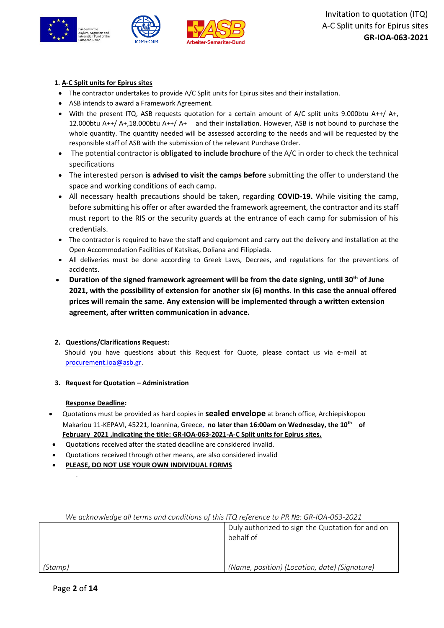

## **1. A-C Split units for Epirus sites**

- The contractor undertakes to provide A/C Split units for Epirus sites and their installation.
- ASB intends to award a Framework Agreement.
- With the present ITQ, ASB requests quotation for a certain amount of A/C split units 9.000btu A++/ A+, 12.000btu A++/ A+,18.000btu A++/ A+ and their installation. However, ASB is not bound to purchase the whole quantity. The quantity needed will be assessed according to the needs and will be requested by the responsible staff of ASB with the submission of the relevant Purchase Order.
- The potential contractor is **obligated to include brochure** of the A/C in order to check the technical specifications
- The interested person **is advised to visit the camps before** submitting the offer to understand the space and working conditions of each camp.
- All necessary health precautions should be taken, regarding **COVID-19.** While visiting the camp, before submitting his offer or after awarded the framework agreement, the contractor and its staff must report to the RIS or the security guards at the entrance of each camp for submission of his credentials.
- The contractor is required to have the staff and equipment and carry out the delivery and installation at the Open Accommodation Facilities of Katsikas, Doliana and Filippiada.
- All deliveries must be done according to Greek Laws, Decrees, and regulations for the preventions of accidents.
- **Duration of the signed framework agreement will be from the date signing, until 30th of June 2021, with the possibility of extension for another six (6) months. In this case the annual offered prices will remain the same. Any extension will be implemented through a written extension agreement, after written communication in advance.**

## **2. Questions/Clarifications Request:** Should you have questions about this Request for Quote, please contact us via e-mail at [procurement.ioa@asb.gr.](mailto:procurement.ioa@asb.gr)

**3. Request for Quotation – Administration**

## **Response Deadline:**

- Quotations must be provided as hard copies in **sealed envelope** at branch office, Archiepiskopou Makariou 11-KEPAVI, 45221, Ioannina, Greece, **no later than 16:00am on Wednesday, the 10th of February 2021 ,indicating the title: GR-IOA-063-2021-A-C Split units for Epirus sites.**
- Quotations received after the stated deadline are considered invalid.
- Quotations received through other means, are also considered invalid
- **PLEASE, DO NOT USE YOUR OWN INDIVIDUAL FORMS**

| We acknowledge all terms and conditions of this ITQ reference to PR No: GR-IOA-063-2021 |                                                               |
|-----------------------------------------------------------------------------------------|---------------------------------------------------------------|
|                                                                                         | Duly authorized to sign the Quotation for and on<br>behalf of |
|                                                                                         |                                                               |
| (Stamp)                                                                                 | (Name, position) (Location, date) (Signature)                 |

*We acknowledge all terms and conditions of this ITQ reference to PR №: GR-IOA-063-2021*

.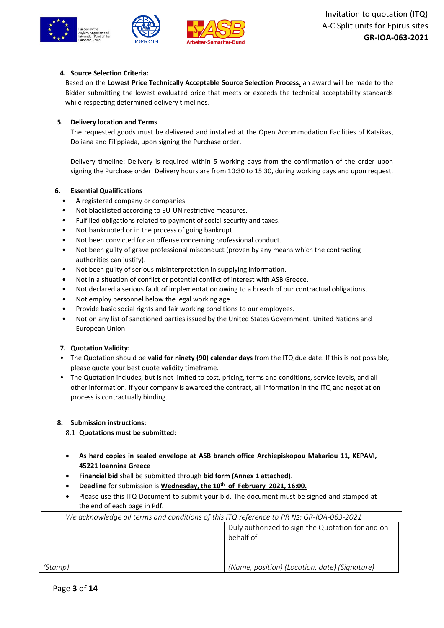



## **4. Source Selection Criteria:**

Based on the **Lowest Price Technically Acceptable Source Selection Process**, an award will be made to the Bidder submitting the lowest evaluated price that meets or exceeds the technical acceptability standards while respecting determined delivery timelines.

## **5. Delivery location and Terms**

The requested goods must be delivered and installed at the Open Accommodation Facilities of Katsikas, Doliana and Filippiada, upon signing the Purchase order.

Delivery timeline: Delivery is required within 5 working days from the confirmation of the order upon signing the Purchase order. Delivery hours are from 10:30 to 15:30, during working days and upon request.

## **6. Essential Qualifications**

- A registered company or companies.
- Not blacklisted according to EU-UN restrictive measures.
- Fulfilled obligations related to payment of social security and taxes.
- Not bankrupted or in the process of going bankrupt.
- Not been convicted for an offense concerning professional conduct.
- Not been guilty of grave professional misconduct (proven by any means which the contracting authorities can justify).
- Not been guilty of serious misinterpretation in supplying information.
- Not in a situation of conflict or potential conflict of interest with ASB Greece.
- Not declared a serious fault of implementation owing to a breach of our contractual obligations.
- Not employ personnel below the legal working age.
- Provide basic social rights and fair working conditions to our employees.
- Not on any list of sanctioned parties issued by the United States Government, United Nations and European Union.

## **7. Quotation Validity:**

- The Quotation should be **valid for ninety (90) calendar days** from the ITQ due date. If this is not possible, please quote your best quote validity timeframe.
- The Quotation includes, but is not limited to cost, pricing, terms and conditions, service levels, and all other information. If your company is awarded the contract, all information in the ITQ and negotiation process is contractually binding.

## **8. Submission instructions:**

- 8.1 **Quotations must be submitted:**
- **As hard copies in sealed envelope at ASB branch office Archiepiskopou Makariou 11, KEPAVI, 45221 Ioannina Greece**
- **Financial bid** shall be submitted through **bid form (Annex 1 attached)**.
- **Deadline** for submission is **Wednesday, the 10th of February 2021, 16:00.**
- Please use this ITQ Document to submit your bid. The document must be signed and stamped at the end of each page in Pdf.

| We acknowledge all terms and conditions of this ITQ reference to PR Nº: GR-IOA-063-2021 |                                                               |
|-----------------------------------------------------------------------------------------|---------------------------------------------------------------|
|                                                                                         | Duly authorized to sign the Quotation for and on<br>behalf of |
| (Stamp)                                                                                 | (Name, position) (Location, date) (Signature)                 |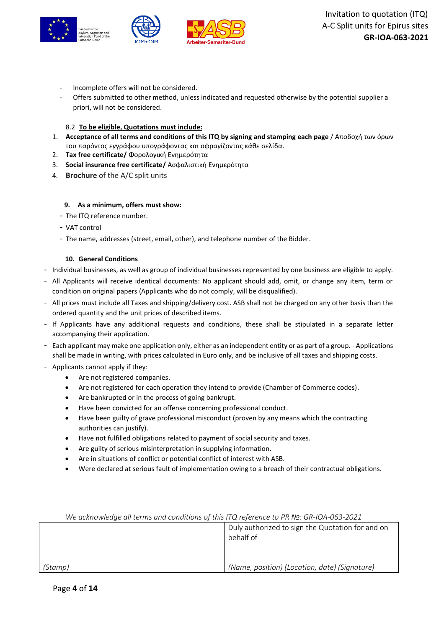

- Incomplete offers will not be considered.
- Offers submitted to other method, unless indicated and requested otherwise by the potential supplier a priori, will not be considered.

#### 8.2 **To be eligible, Quotations must include:**

- 1. **Acceptance of all terms and conditions of this ITQ by signing and stamping each page** / Αποδοχή των όρων του παρόντος εγγράφου υπογράφοντας και σφραγίζοντας κάθε σελίδα.
- 2. **Tax free certificate/** Φορολογική Ενημερότητα
- 3. **Social insurance free certificate/** Ασφαλιστική Ενημερότητα
- 4. **Brochure** of the A/C split units

#### **9. As a minimum, offers must show:**

- The ITQ reference number.
- VAT control
- The name, addresses (street, email, other), and telephone number of the Bidder.

#### **10. General Conditions**

- Individual businesses, as well as group of individual businesses represented by one business are eligible to apply.
- All Applicants will receive identical documents: No applicant should add, omit, or change any item, term or condition on original papers (Applicants who do not comply, will be disqualified).
- All prices must include all Taxes and shipping/delivery cost. ASB shall not be charged on any other basis than the ordered quantity and the unit prices of described items.
- If Applicants have any additional requests and conditions, these shall be stipulated in a separate letter accompanying their application.
- Each applicant may make one application only, either as an independent entity or as part of a group. Applications shall be made in writing, with prices calculated in Euro only, and be inclusive of all taxes and shipping costs.
- Applicants cannot apply if they:
	- Are not registered companies.
	- Are not registered for each operation they intend to provide (Chamber of Commerce codes).
	- Are bankrupted or in the process of going bankrupt.
	- Have been convicted for an offense concerning professional conduct.
	- Have been guilty of grave professional misconduct (proven by any means which the contracting authorities can justify).
	- Have not fulfilled obligations related to payment of social security and taxes.
	- Are guilty of serious misinterpretation in supplying information.
	- Are in situations of conflict or potential conflict of interest with ASB.
	- Were declared at serious fault of implementation owing to a breach of their contractual obligations.

| We acknowledge all terms and conditions of this ITQ reference to PR Nº: GR-IOA-063-2021 |                                                               |
|-----------------------------------------------------------------------------------------|---------------------------------------------------------------|
|                                                                                         | Duly authorized to sign the Quotation for and on<br>behalf of |
|                                                                                         |                                                               |
| (Stamp)                                                                                 | (Name, position) (Location, date) (Signature)                 |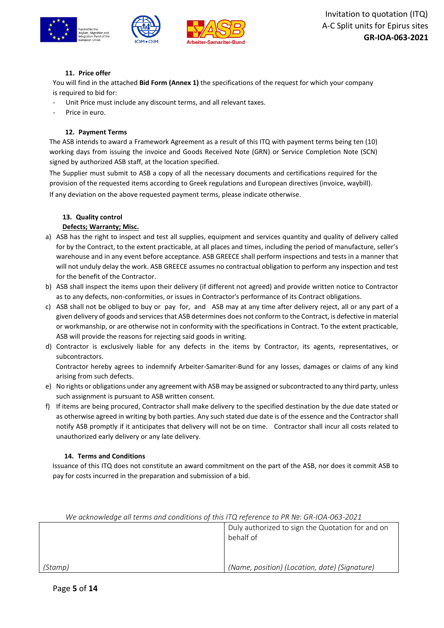

## **11. Price offer**

You will find in the attached **Bid Form (Annex 1)** the specifications of the request for which your company is required to bid for:

- Unit Price must include any discount terms, and all relevant taxes.
- Price in euro.

#### **12. Payment Terms**

The ASB intends to award a Framework Agreement as a result of this ITQ with payment terms being ten (10) working days from issuing the invoice and Goods Received Note (GRN) or Service Completion Note (SCN) signed by authorized ASB staff, at the location specified.

The Supplier must submit to ASB a copy of all the necessary documents and certifications required for the provision of the requested items according to Greek regulations and European directives (invoice, waybill). If any deviation on the above requested payment terms, please indicate otherwise.

## **13. Quality control**

#### **Defects; Warranty; Misc.**

- a) ASB has the right to inspect and test all supplies, equipment and services quantity and quality of delivery called for by the Contract, to the extent practicable, at all places and times, including the period of manufacture, seller's warehouse and in any event before acceptance. ASB GREECE shall perform inspections and tests in a manner that will not unduly delay the work. ASB GREECE assumes no contractual obligation to perform any inspection and test for the benefit of the Contractor.
- b) ASB shall inspect the items upon their delivery (if different not agreed) and provide written notice to Contractor as to any defects, non-conformities, or issues in Contractor's performance of its Contract obligations.
- c) ASB shall not be obliged to buy or pay for, and ASB may at any time after delivery reject, all or any part of a given delivery of goods and services that ASB determines does not conform to the Contract, is defective in material or workmanship, or are otherwise not in conformity with the specifications in Contract. To the extent practicable, ASB will provide the reasons for rejecting said goods in writing.
- d) Contractor is exclusively liable for any defects in the items by Contractor, its agents, representatives, or subcontractors.

Contractor hereby agrees to indemnify Arbeiter-Samariter-Bund for any losses, damages or claims of any kind arising from such defects.

- e) No rights or obligations under any agreement with ASB may be assigned or subcontracted to any third party, unless such assignment is pursuant to ASB written consent.
- f) If items are being procured, Contractor shall make delivery to the specified destination by the due date stated or as otherwise agreed in writing by both parties. Any such stated due date is of the essence and the Contractor shall notify ASB promptly if it anticipates that delivery will not be on time. Contractor shall incur all costs related to unauthorized early delivery or any late delivery.

#### **14. Terms and Conditions**

Issuance of this ITQ does not constitute an award commitment on the part of the ASB, nor does it commit ASB to pay for costs incurred in the preparation and submission of a bid.

| We acknowledge all terms and conditions of this ITQ reference to PR Nº: GR-IOA-063-2021 |                                                               |
|-----------------------------------------------------------------------------------------|---------------------------------------------------------------|
|                                                                                         | Duly authorized to sign the Quotation for and on<br>behalf of |
|                                                                                         |                                                               |
| (Stamp)                                                                                 | (Name, position) (Location, date) (Signature)                 |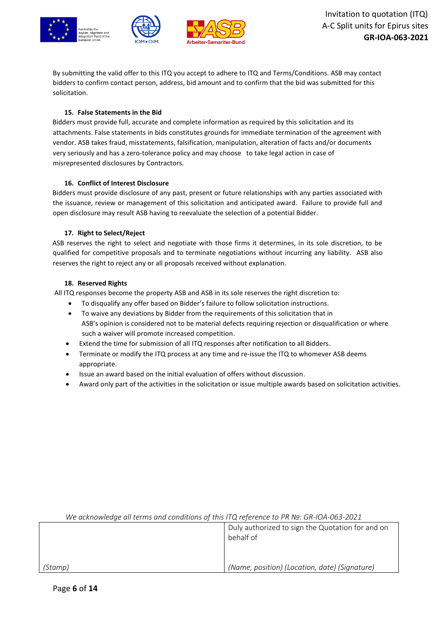

By submitting the valid offer to this ITQ you accept to adhere to ITQ and Terms/Conditions. ASB may contact bidders to confirm contact person, address, bid amount and to confirm that the bid was submitted for this solicitation.

#### **15. False Statements in the Bid**

Bidders must provide full, accurate and complete information as required by this solicitation and its attachments. False statements in bids constitutes grounds for immediate termination of the agreement with vendor. ASB takes fraud, misstatements, falsification, manipulation, alteration of facts and/or documents very seriously and has a zero-tolerance policy and may choose to take legal action in case of misrepresented disclosures by Contractors.

#### **16. Conflict of Interest Disclosure**

Bidders must provide disclosure of any past, present or future relationships with any parties associated with the issuance, review or management of this solicitation and anticipated award. Failure to provide full and open disclosure may result ASB having to reevaluate the selection of a potential Bidder.

#### **17. Right to Select/Reject**

ASB reserves the right to select and negotiate with those firms it determines, in its sole discretion, to be qualified for competitive proposals and to terminate negotiations without incurring any liability. ASB also reserves the right to reject any or all proposals received without explanation.

#### **18. Reserved Rights**

All ITQ responses become the property ASB and ASB in its sole reserves the right discretion to:

- To disqualify any offer based on Bidder's failure to follow solicitation instructions.
- To waive any deviations by Bidder from the requirements of this solicitation that in ASB's opinion is considered not to be material defects requiring rejection or disqualification or where such a waiver will promote increased competition.
- Extend the time for submission of all ITQ responses after notification to all Bidders.
- Terminate or modify the ITQ process at any time and re-issue the ITQ to whomever ASB deems appropriate.
- Issue an award based on the initial evaluation of offers without discussion.
- Award only part of the activities in the solicitation or issue multiple awards based on solicitation activities.

| The acknowledge all terms and conditions of this FIQ reference to PR Nº. GR-IOA-063-2021 |                                                  |
|------------------------------------------------------------------------------------------|--------------------------------------------------|
|                                                                                          | Duly authorized to sign the Quotation for and on |
|                                                                                          | behalf of                                        |
|                                                                                          |                                                  |
|                                                                                          |                                                  |
| (Stamp)                                                                                  | (Name, position) (Location, date) (Signature)    |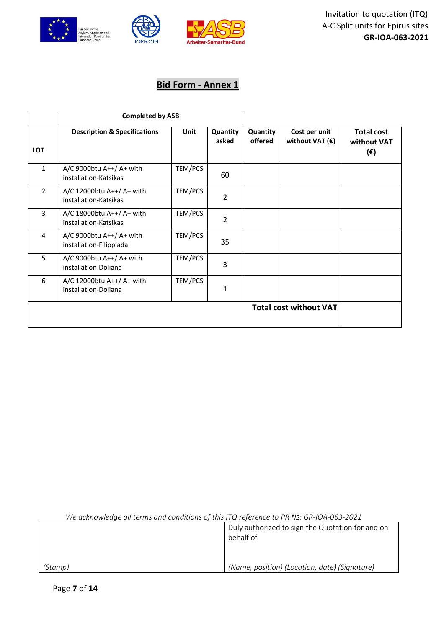

# **Bid Form - Annex 1**

|                | <b>Completed by ASB</b>                             |         |                   |                     |                                           |                                         |
|----------------|-----------------------------------------------------|---------|-------------------|---------------------|-------------------------------------------|-----------------------------------------|
| <b>LOT</b>     | <b>Description &amp; Specifications</b>             | Unit    | Quantity<br>asked | Quantity<br>offered | Cost per unit<br>without VAT $(\epsilon)$ | <b>Total cost</b><br>without VAT<br>(€) |
| $\mathbf{1}$   | A/C 9000btu A++/ A+ with<br>installation-Katsikas   | TEM/PCS | 60                |                     |                                           |                                         |
| $\overline{2}$ | A/C 12000btu A++/ A+ with<br>installation-Katsikas  | TEM/PCS | $\overline{2}$    |                     |                                           |                                         |
| $\overline{3}$ | A/C 18000btu A++/ A+ with<br>installation-Katsikas  | TEM/PCS | $\overline{2}$    |                     |                                           |                                         |
| 4              | A/C 9000btu A++/ A+ with<br>installation-Filippiada | TEM/PCS | 35                |                     |                                           |                                         |
| 5              | A/C 9000btu A++/ A+ with<br>installation-Doliana    | TEM/PCS | 3                 |                     |                                           |                                         |
| 6              | A/C 12000btu A++/ A+ with<br>installation-Doliana   | TEM/PCS | 1                 |                     |                                           |                                         |
|                |                                                     |         |                   |                     | <b>Total cost without VAT</b>             |                                         |

|         | Duly authorized to sign the Quotation for and on<br>behalf of |
|---------|---------------------------------------------------------------|
| (Stamp) | (Name, position) (Location, date) (Signature)                 |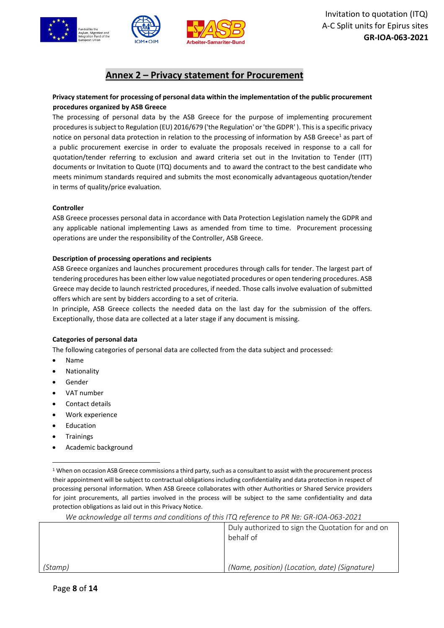

## **Annex 2 – Privacy statement for Procurement**

## **Privacy statement for processing of personal data within the implementation of the public procurement procedures organized by ASB Greece**

The processing of personal data by the ASB Greece for the purpose of implementing procurement procedures is subject to Regulation (EU) 2016/679 ('the Regulation' or 'the GDPR' ). This is a specific privacy notice on personal data protection in relation to the processing of information by ASB Greece<sup>1</sup> as part of a public procurement exercise in order to evaluate the proposals received in response to a call for quotation/tender referring to exclusion and award criteria set out in the Invitation to Tender (ITT) documents or Invitation to Quote (ITQ) documents and to award the contract to the best candidate who meets minimum standards required and submits the most economically advantageous quotation/tender in terms of quality/price evaluation.

#### **Controller**

ASB Greece processes personal data in accordance with Data Protection Legislation namely the GDPR and any applicable national implementing Laws as amended from time to time. Procurement processing operations are under the responsibility of the Controller, ASB Greece.

#### **Description of processing operations and recipients**

ASB Greece organizes and launches procurement procedures through calls for tender. The largest part of tendering procedures has been either low value negotiated procedures or open tendering procedures. ASB Greece may decide to launch restricted procedures, if needed. Those calls involve evaluation of submitted offers which are sent by bidders according to a set of criteria.

In principle, ASB Greece collects the needed data on the last day for the submission of the offers. Exceptionally, those data are collected at a later stage if any document is missing.

#### **Categories of personal data**

The following categories of personal data are collected from the data subject and processed:

- Name
- **Nationality**
- **Gender**
- VAT number
- Contact details
- Work experience
- **Education**
- **Trainings**
- Academic background

 $1$  When on occasion ASB Greece commissions a third party, such as a consultant to assist with the procurement process their appointment will be subject to contractual obligations including confidentiality and data protection in respect of processing personal information. When ASB Greece collaborates with other Authorities or Shared Service providers for joint procurements, all parties involved in the process will be subject to the same confidentiality and data protection obligations as laid out in this Privacy Notice.

|         | Duly authorized to sign the Quotation for and on<br>behalf of |
|---------|---------------------------------------------------------------|
|         |                                                               |
| (Stamp) | (Name, position) (Location, date) (Signature)                 |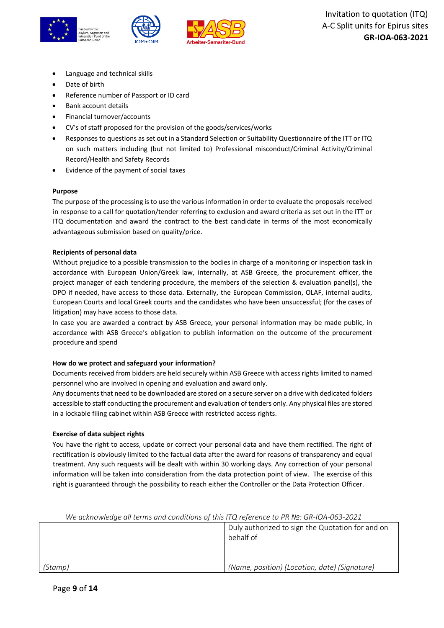

- Language and technical skills
- Date of birth
- Reference number of Passport or ID card
- Bank account details
- Financial turnover/accounts
- CV's of staff proposed for the provision of the goods/services/works
- Responses to questions as set out in a Standard Selection or Suitability Questionnaire of the ITT or ITQ on such matters including (but not limited to) Professional misconduct/Criminal Activity/Criminal Record/Health and Safety Records
- Evidence of the payment of social taxes

#### **Purpose**

The purpose of the processing is to use the various information in order to evaluate the proposals received in response to a call for quotation/tender referring to exclusion and award criteria as set out in the ITT or ITQ documentation and award the contract to the best candidate in terms of the most economically advantageous submission based on quality/price.

#### **Recipients of personal data**

Without prejudice to a possible transmission to the bodies in charge of a monitoring or inspection task in accordance with European Union/Greek law, internally, at ASB Greece, the procurement officer, the project manager of each tendering procedure, the members of the selection & evaluation panel(s), the DPO if needed, have access to those data. Externally, the European Commission, OLAF, internal audits, European Courts and local Greek courts and the candidates who have been unsuccessful; (for the cases of litigation) may have access to those data.

In case you are awarded a contract by ASB Greece, your personal information may be made public, in accordance with ASB Greece's obligation to publish information on the outcome of the procurement procedure and spend

#### **How do we protect and safeguard your information?**

Documents received from bidders are held securely within ASB Greece with access rights limited to named personnel who are involved in opening and evaluation and award only.

Any documents that need to be downloaded are stored on a secure server on a drive with dedicated folders accessible to staff conducting the procurement and evaluation of tenders only. Any physical files are stored in a lockable filing cabinet within ASB Greece with restricted access rights.

#### **Exercise of data subject rights**

You have the right to access, update or correct your personal data and have them rectified. The right of rectification is obviously limited to the factual data after the award for reasons of transparency and equal treatment. Any such requests will be dealt with within 30 working days. Any correction of your personal information will be taken into consideration from the data protection point of view. The exercise of this right is guaranteed through the possibility to reach either the Controller or the Data Protection Officer.

*(Stamp)* Duly authorized to sign the Quotation for and on behalf of *(Name, position) (Location, date) (Signature)*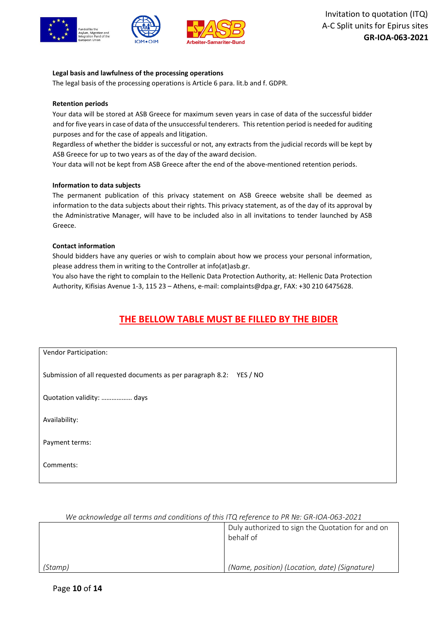



#### **Legal basis and lawfulness of the processing operations**

The legal basis of the processing operations is Article 6 para. lit.b and f. GDPR.

#### **Retention periods**

Your data will be stored at ASB Greece for maximum seven years in case of data of the successful bidder and for five years in case of data of the unsuccessful tenderers. This retention period is needed for auditing purposes and for the case of appeals and litigation.

Regardless of whether the bidder is successful or not, any extracts from the judicial records will be kept by ASB Greece for up to two years as of the day of the award decision.

Your data will not be kept from ASB Greece after the end of the above-mentioned retention periods.

#### **Information to data subjects**

The permanent publication of this privacy statement on ASB Greece website shall be deemed as information to the data subjects about their rights. This privacy statement, as of the day of its approval by the Administrative Manager, will have to be included also in all invitations to tender launched by ASB Greece.

#### **Contact information**

Should bidders have any queries or wish to complain about how we process your personal information, please address them in writing to the Controller at info(at)asb.gr.

You also have the right to complain to the Hellenic Data Protection Authority, at: Hellenic Data Protection Authority, Kifisias Avenue 1-3, 115 23 – Athens, e-mail: complaints@dpa.gr, FAX: +30 210 6475628.

## **THE BELLOW TABLE MUST BE FILLED BY THE BIDER**

| Vendor Participation:                                                   |
|-------------------------------------------------------------------------|
|                                                                         |
|                                                                         |
| Submission of all requested documents as per paragraph 8.2:<br>YES / NO |
|                                                                         |
|                                                                         |
| Quotation validity:  days                                               |
|                                                                         |
|                                                                         |
| Availability:                                                           |
|                                                                         |
|                                                                         |
| Payment terms:                                                          |
|                                                                         |
|                                                                         |
| Comments:                                                               |
|                                                                         |
|                                                                         |

|--|

|         | Duly authorized to sign the Quotation for and on<br>behalf of |
|---------|---------------------------------------------------------------|
| (Stamp) | (Name, position) (Location, date) (Signature)                 |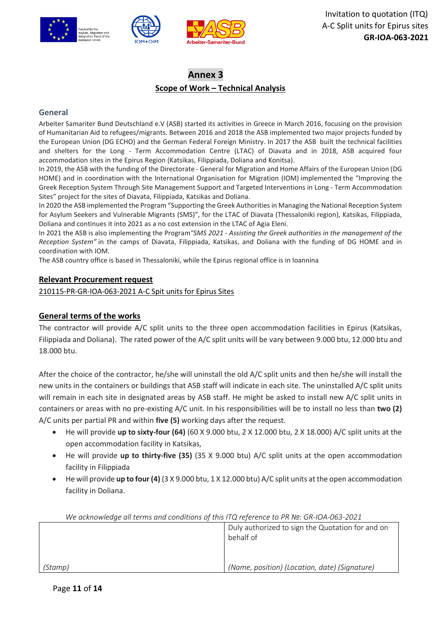

## **Annex 3 Scope of Work – Technical Analysis**

## **General**

Arbeiter Samariter Bund Deutschland e.V (ASB) started its activities in Greece in March 2016, focusing on the provision of Humanitarian Aid to refugees/migrants. Between 2016 and 2018 the ASB implemented two major projects funded by the European Union (DG ECHO) and the German Federal Foreign Ministry. In 2017 the ASB built the technical facilities and shelters for the Long - Term Accommodation Centre (LTAC) of Diavata and in 2018, ASB acquired four accommodation sites in the Epirus Region (Katsikas, Filippiada, Doliana and Konitsa).

In 2019, the ASB with the funding of the Directorate - General for Migration and Home Affairs of the European Union (DG HOME) and in coordination with the International Organisation for Migration (IOM) implemented the "Improving the Greek Reception System Through Site Management Support and Targeted Interventions in Long - Term Accommodation Sites" project for the sites of Diavata, Filippiada, Katsikas and Doliana.

In 2020 the ASB implemented the Program "Supporting the Greek Authorities in Managing the National Reception System for Asylum Seekers and Vulnerable Migrants (SMS)", for the LTAC of Diavata (Thessaloniki region), Katsikas, Filippiada, Doliana and continues it into 2021 as a no cost extension in the LTAC of Agia Eleni.

In 2021 the ASB is also implementing the Program*"SMS 2021 - Assisting the Greek authorities in the management of the Reception System"* in the camps of Diavata, Filippiada, Katsikas, and Doliana with the funding of DG HOME and in coordination with IOM.

The ASB country office is based in Thessaloniki, while the Epirus regional office is in Ioannina

## **Relevant Procurement request**

210115-PR-GR-IOA-063-2021 A-C Spit units for Epirus Sites

## **General terms of the works**

The contractor will provide A/C split units to the three open accommodation facilities in Epirus (Katsikas, Filippiada and Doliana). The rated power of the A/C split units will be vary between 9.000 btu, 12.000 btu and 18.000 btu.

After the choice of the contractor, he/she will uninstall the old A/C split units and then he/she will install the new units in the containers or buildings that ASB staff will indicate in each site. The uninstalled A/C split units will remain in each site in designated areas by ASB staff. He might be asked to install new A/C split units in containers or areas with no pre-existing A/C unit. In his responsibilities will be to install no less than **two (2)** A/C units per partial PR and within **five (5)** working days after the request.

- He will provide **up to sixty-four (64)** (60 X 9.000 btu, 2 X 12.000 btu, 2 X 18.000) A/C split units at the open accommodation facility in Katsikas,
- He will provide **up to thirty-five (35)** (35 X 9.000 btu) A/C split units at the open accommodation facility in Filippiada
- He will provide **up to four (4)** (3 X 9.000 btu, 1 X 12.000 btu) A/C split units at the open accommodation facility in Doliana.

| We acknowledge all terms and conditions of this ITQ reference to PR Nº: GR-IOA-063-2021 |                                                               |
|-----------------------------------------------------------------------------------------|---------------------------------------------------------------|
|                                                                                         | Duly authorized to sign the Quotation for and on<br>behalf of |
|                                                                                         |                                                               |
| (Stamp)                                                                                 | (Name, position) (Location, date) (Signature)                 |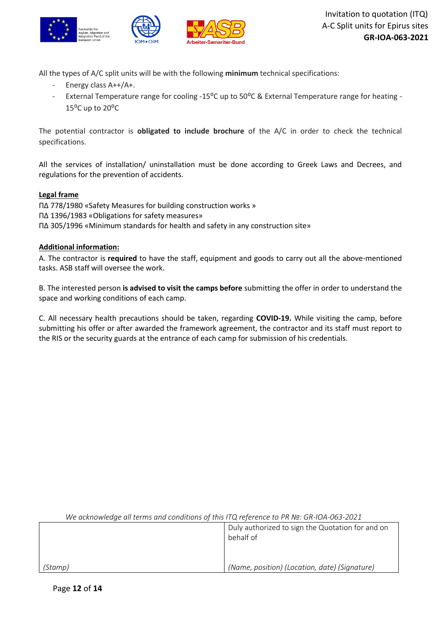

All the types of A/C split units will be with the following **minimum** technical specifications:

- Energy class A++/A+.
- External Temperature range for cooling -15<sup>o</sup>C up to 50<sup>o</sup>C & External Temperature range for heating - $15^{\circ}$ C up to 20 $^{\circ}$ C

The potential contractor is **obligated to include brochure** of the A/C in order to check the technical specifications.

All the services of installation/ uninstallation must be done according to Greek Laws and Decrees, and regulations for the prevention of accidents.

## **Legal frame**

ΠΔ 778/1980 «Safety Measures for building construction works » ΠΔ 1396/1983 «Obligations for safety measures» ΠΔ 305/1996 «Minimum standards for health and safety in any construction site»

## **Additional information:**

A. The contractor is **required** to have the staff, equipment and goods to carry out all the above-mentioned tasks. ASB staff will oversee the work.

B. The interested person **is advised to visit the camps before** submitting the offer in order to understand the space and working conditions of each camp.

C. All necessary health precautions should be taken, regarding **COVID-19.** While visiting the camp, before submitting his offer or after awarded the framework agreement, the contractor and its staff must report to the RIS or the security guards at the entrance of each camp for submission of his credentials.

|  | We acknowledge all terms and conditions of this ITQ reference to PR Nº: GR-IOA-063-2021 |  |
|--|-----------------------------------------------------------------------------------------|--|
|--|-----------------------------------------------------------------------------------------|--|

|         | Duly authorized to sign the Quotation for and on<br>behalf of |
|---------|---------------------------------------------------------------|
| (Stamp) | (Name, position) (Location, date) (Signature)                 |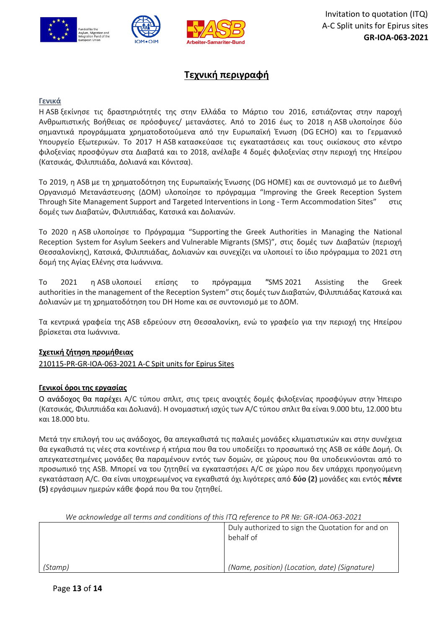

## **Τεχνική περιγραφή**

## **Γενικά**

Η ASB ξεκίνησε τις δραστηριότητές της στην Ελλάδα το Μάρτιο του 2016, εστιάζοντας στην παροχή Ανθρωπιστικής Βοήθειας σε πρόσφυγες/ μετανάστες. Από το 2016 έως το 2018 η ASB υλοποίησε δύο σημαντικά προγράμματα χρηματοδοτούμενα από την Ευρωπαϊκή Ένωση (DG ECHO) και το Γερμανικό Υπουργείο Εξωτερικών. Το 2017 Η ASB κατασκεύασε τις εγκαταστάσεις και τους οικίσκους στο κέντρο φιλοξενίας προσφύγων στα Διαβατά και το 2018, ανέλαβε 4 δομές φιλοξενίας στην περιοχή της Ηπείρου (Κατσικάς, Φιλιππιάδα, Δολιανά και Κόνιτσα).

Το 2019, η ASB με τη χρηματοδότηση της Ευρωπαϊκής Ένωσης (DG HOME) και σε συντονισμό με το Διεθνή Οργανισμό Μετανάστευσης (ΔΟΜ) υλοποίησε το πρόγραμμα "Improving the Greek Reception System Through Site Management Support and Targeted Interventions in Long - Term Accommodation Sites" στις δομές των Διαβατών, Φιλιππιάδας, Κατσικά και Δολιανών.

Το 2020 η ASB υλοποίησε το Πρόγραμμα "Supporting the Greek Authorities in Managing the National Reception System for Asylum Seekers and Vulnerable Migrants (SMS)", στις δομές των Διαβατών (περιοχή Θεσσαλονίκης), Κατσικά, Φιλιππιάδας, Δολιανών και συνεχίζει να υλοποιεί το ίδιο πρόγραμμα το 2021 στη δομή της Αγίας Ελένης στα Ιωάννινα.

Το 2021 η ASB υλοποιεί επίσης το πρόγραμμα *"*SMS 2021 Assisting the Greek authorities in the management of the Reception System" στις δομές των Διαβατών, Φιλιππιάδας Κατσικά και Δολιανών με τη χρηματοδότηση του DH Home και σε συντονισμό με το ΔΟΜ.

Τα κεντρικά γραφεία της ASΒ εδρεύουν στη Θεσσαλονίκη, ενώ το γραφείο για την περιοχή της Ηπείρου βρίσκεται στα Ιωάννινα.

## **Σχετική ζήτηση προμήθειας**

210115-PR-GR-IOA-063-2021 A-C Spit units for Epirus Sites

## **Γενικοί όροι της εργασίας**

Ο ανάδοχος θα παρέχει A/C τύπου σπλιτ, στις τρεις ανοιχτές δομές φιλοξενίας προσφύγων στην Ήπειρο (Κατσικάς, Φιλιππιάδα και Δολιανά). Η ονομαστική ισχύς των A/C τύπου σπλιτ θα είναι 9.000 btu, 12.000 btu και 18.000 btu.

Μετά την επιλογή του ως ανάδοχος, θα απεγκαθιστά τις παλαιές μονάδες κλιματιστικών και στην συνέχεια θα εγκαθιστά τις νέες στα κοντέινερ ή κτήρια που θα του υποδείξει το προσωπικό της ASB σε κάθε Δομή. Οι απεγκατεστημένες μονάδες θα παραμένουν εντός των δομών, σε χώρους που θα υποδεικνύονται από το προσωπικό της ASB. Μπορεί να του ζητηθεί να εγκαταστήσει A/C σε χώρο που δεν υπάρχει προηγούμενη εγκατάσταση A/C. Θα είναι υποχρεωμένος να εγκαθιστά όχι λιγότερες από **δύο (2)** μονάδες και εντός **πέντε (5)** εργάσιμων ημερών κάθε φορά που θα του ζητηθεί.

| The acknowledge all terms and conditions of this ITQ reference to PR Nº. GR-IOA-063-2021 |                                                               |
|------------------------------------------------------------------------------------------|---------------------------------------------------------------|
|                                                                                          | Duly authorized to sign the Quotation for and on<br>behalf of |
| (Stamp)                                                                                  | (Name, position) (Location, date) (Signature)                 |